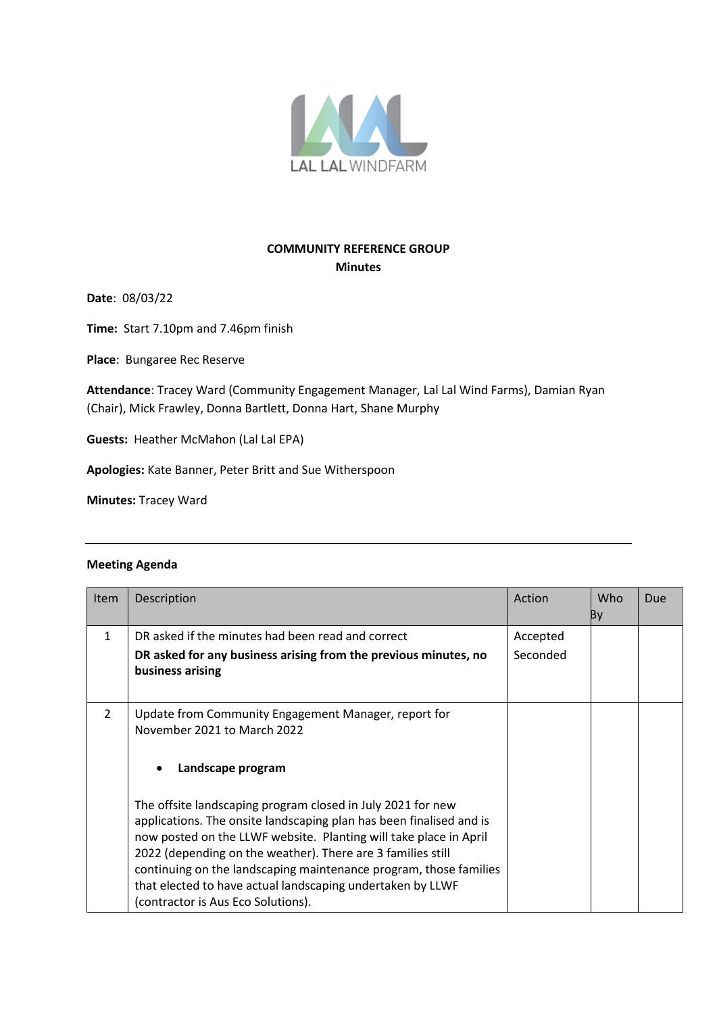

## **COMMUNITY REFERENCE GROUP Minutes**

**Date**: 08/03/22

**Time:** Start 7.10pm and 7.46pm finish

**Place**: Bungaree Rec Reserve

**Attendance**: Tracey Ward (Community Engagement Manager, Lal Lal Wind Farms), Damian Ryan (Chair), Mick Frawley, Donna Bartlett, Donna Hart, Shane Murphy

**Guests:** Heather McMahon (Lal Lal EPA)

**Apologies:** Kate Banner, Peter Britt and Sue Witherspoon

**Minutes:** Tracey Ward

## **Meeting Agenda**

| <b>Item</b>    | Description                                                                                                                                                                                                                                                                                                                                                                                                                                     | Action   | Who<br>By | Due |
|----------------|-------------------------------------------------------------------------------------------------------------------------------------------------------------------------------------------------------------------------------------------------------------------------------------------------------------------------------------------------------------------------------------------------------------------------------------------------|----------|-----------|-----|
| 1              | DR asked if the minutes had been read and correct                                                                                                                                                                                                                                                                                                                                                                                               | Accepted |           |     |
|                | DR asked for any business arising from the previous minutes, no<br>business arising                                                                                                                                                                                                                                                                                                                                                             | Seconded |           |     |
| $\overline{2}$ | Update from Community Engagement Manager, report for<br>November 2021 to March 2022                                                                                                                                                                                                                                                                                                                                                             |          |           |     |
|                | Landscape program                                                                                                                                                                                                                                                                                                                                                                                                                               |          |           |     |
|                | The offsite landscaping program closed in July 2021 for new<br>applications. The onsite landscaping plan has been finalised and is<br>now posted on the LLWF website. Planting will take place in April<br>2022 (depending on the weather). There are 3 families still<br>continuing on the landscaping maintenance program, those families<br>that elected to have actual landscaping undertaken by LLWF<br>(contractor is Aus Eco Solutions). |          |           |     |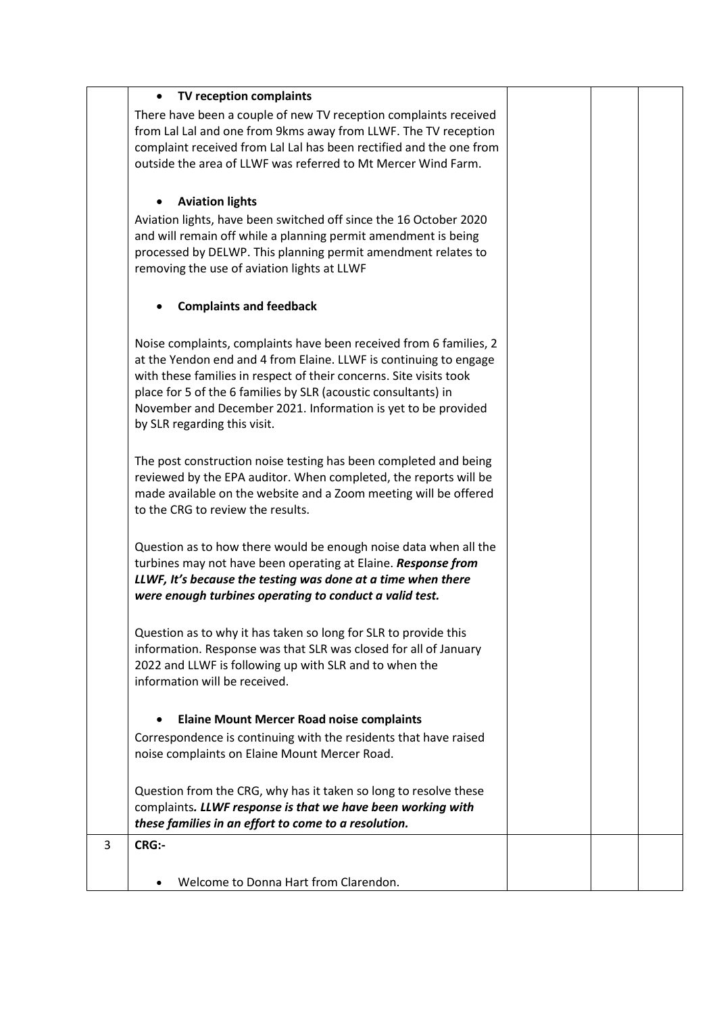|   | TV reception complaints                                                                                             |  |  |
|---|---------------------------------------------------------------------------------------------------------------------|--|--|
|   | There have been a couple of new TV reception complaints received                                                    |  |  |
|   | from Lal Lal and one from 9kms away from LLWF. The TV reception                                                     |  |  |
|   | complaint received from Lal Lal has been rectified and the one from                                                 |  |  |
|   | outside the area of LLWF was referred to Mt Mercer Wind Farm.                                                       |  |  |
|   |                                                                                                                     |  |  |
|   | <b>Aviation lights</b><br>$\bullet$                                                                                 |  |  |
|   | Aviation lights, have been switched off since the 16 October 2020                                                   |  |  |
|   | and will remain off while a planning permit amendment is being                                                      |  |  |
|   | processed by DELWP. This planning permit amendment relates to                                                       |  |  |
|   | removing the use of aviation lights at LLWF                                                                         |  |  |
|   |                                                                                                                     |  |  |
|   | <b>Complaints and feedback</b>                                                                                      |  |  |
|   |                                                                                                                     |  |  |
|   | Noise complaints, complaints have been received from 6 families, 2                                                  |  |  |
|   | at the Yendon end and 4 from Elaine. LLWF is continuing to engage                                                   |  |  |
|   | with these families in respect of their concerns. Site visits took                                                  |  |  |
|   | place for 5 of the 6 families by SLR (acoustic consultants) in                                                      |  |  |
|   | November and December 2021. Information is yet to be provided                                                       |  |  |
|   | by SLR regarding this visit.                                                                                        |  |  |
|   |                                                                                                                     |  |  |
|   | The post construction noise testing has been completed and being                                                    |  |  |
|   | reviewed by the EPA auditor. When completed, the reports will be                                                    |  |  |
|   | made available on the website and a Zoom meeting will be offered                                                    |  |  |
|   | to the CRG to review the results.                                                                                   |  |  |
|   |                                                                                                                     |  |  |
|   | Question as to how there would be enough noise data when all the                                                    |  |  |
|   | turbines may not have been operating at Elaine. Response from                                                       |  |  |
|   | LLWF, It's because the testing was done at a time when there                                                        |  |  |
|   | were enough turbines operating to conduct a valid test.                                                             |  |  |
|   |                                                                                                                     |  |  |
|   | Question as to why it has taken so long for SLR to provide this                                                     |  |  |
|   | information. Response was that SLR was closed for all of January                                                    |  |  |
|   | 2022 and LLWF is following up with SLR and to when the                                                              |  |  |
|   | information will be received.                                                                                       |  |  |
|   |                                                                                                                     |  |  |
|   | <b>Elaine Mount Mercer Road noise complaints</b>                                                                    |  |  |
|   | Correspondence is continuing with the residents that have raised                                                    |  |  |
|   | noise complaints on Elaine Mount Mercer Road.                                                                       |  |  |
|   |                                                                                                                     |  |  |
|   | Question from the CRG, why has it taken so long to resolve these                                                    |  |  |
|   | complaints. LLWF response is that we have been working with<br>these families in an effort to come to a resolution. |  |  |
|   |                                                                                                                     |  |  |
| 3 | <b>CRG:-</b>                                                                                                        |  |  |
|   |                                                                                                                     |  |  |
|   | Welcome to Donna Hart from Clarendon.                                                                               |  |  |